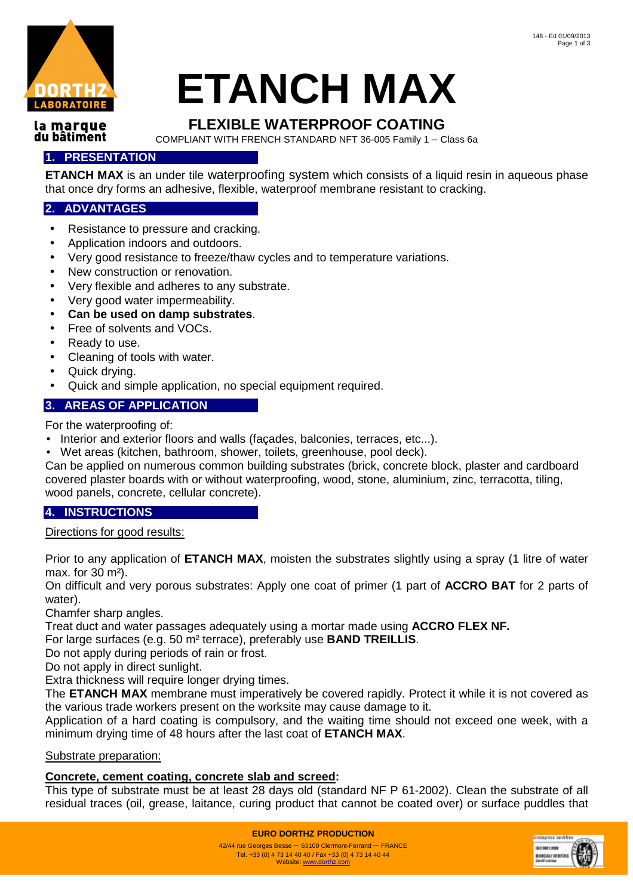

# **ETANCH MAX**

#### la marque du bâtiment

# **FLEXIBLE WATERPROOF COATING**

COMPLIANT WITH FRENCH STANDARD NFT 36-005 Family 1 – Class 6a

## **1. PRESENTATION**

**ETANCH MAX** is an under tile waterproofing system which consists of a liquid resin in aqueous phase that once dry forms an adhesive, flexible, waterproof membrane resistant to cracking.

## **2. ADVANTAGES**

- Resistance to pressure and cracking.
- Application indoors and outdoors.
- Very good resistance to freeze/thaw cycles and to temperature variations.
- New construction or renovation.
- Very flexible and adheres to any substrate.
- Very good water impermeability.
- **Can be used on damp substrates**.
- Free of solvents and VOCs.
- Ready to use.
- Cleaning of tools with water.
- Quick drying.
- Quick and simple application, no special equipment required.

### **3. AREAS OF APPLICATION**

For the waterproofing of:

- Interior and exterior floors and walls (façades, balconies, terraces, etc...).
- Wet areas (kitchen, bathroom, shower, toilets, greenhouse, pool deck).

Can be applied on numerous common building substrates (brick, concrete block, plaster and cardboard covered plaster boards with or without waterproofing, wood, stone, aluminium, zinc, terracotta, tiling, wood panels, concrete, cellular concrete).

## **4. INSTRUCTIONS**

Directions for good results:

Prior to any application of **ETANCH MAX**, moisten the substrates slightly using a spray (1 litre of water max. for 30 m²).

On difficult and very porous substrates: Apply one coat of primer (1 part of **ACCRO BAT** for 2 parts of water).

Chamfer sharp angles.

Treat duct and water passages adequately using a mortar made using **ACCRO FLEX NF.** 

For large surfaces (e.g. 50 m² terrace), preferably use **BAND TREILLIS**.

Do not apply during periods of rain or frost.

Do not apply in direct sunlight.

Extra thickness will require longer drying times.

The **ETANCH MAX** membrane must imperatively be covered rapidly. Protect it while it is not covered as the various trade workers present on the worksite may cause damage to it.

Application of a hard coating is compulsory, and the waiting time should not exceed one week, with a minimum drying time of 48 hours after the last coat of **ETANCH MAX**.

#### Substrate preparation:

## **Concrete, cement coating, concrete slab and screed:**

This type of substrate must be at least 28 days old (standard NF P 61-2002). Clean the substrate of all residual traces (oil, grease, laitance, curing product that cannot be coated over) or surface puddles that



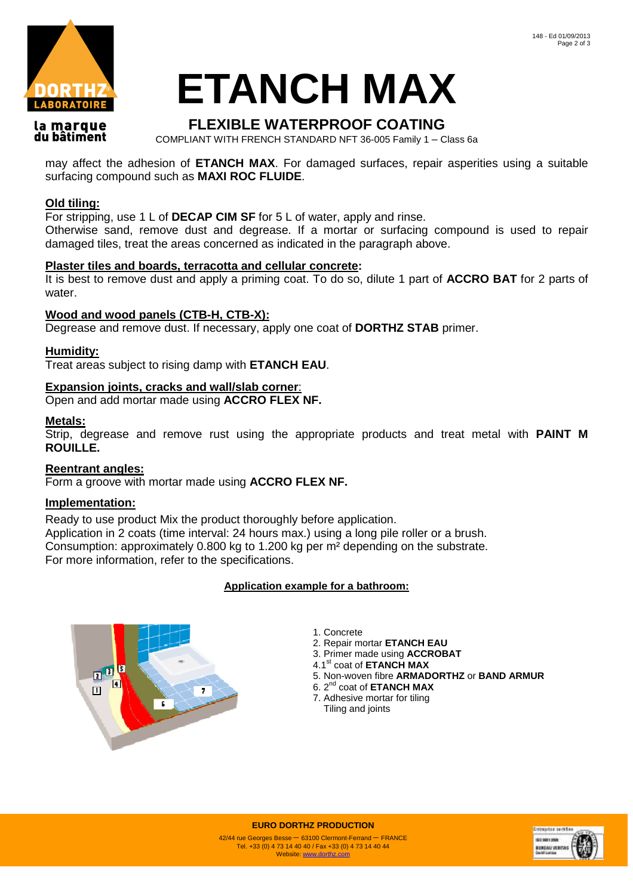

# **ETANCH MAX**

#### la marque du bâtiment

# **FLEXIBLE WATERPROOF COATING**

COMPLIANT WITH FRENCH STANDARD NFT 36-005 Family 1 – Class 6a

may affect the adhesion of **ETANCH MAX**. For damaged surfaces, repair asperities using a suitable surfacing compound such as **MAXI ROC FLUIDE**.

### **Old tiling:**

For stripping, use 1 L of **DECAP CIM SF** for 5 L of water, apply and rinse.

Otherwise sand, remove dust and degrease. If a mortar or surfacing compound is used to repair damaged tiles, treat the areas concerned as indicated in the paragraph above.

#### **Plaster tiles and boards, terracotta and cellular concrete:**

It is best to remove dust and apply a priming coat. To do so, dilute 1 part of **ACCRO BAT** for 2 parts of water.

#### **Wood and wood panels (CTB-H, CTB-X):**

Degrease and remove dust. If necessary, apply one coat of **DORTHZ STAB** primer.

#### **Humidity:**

Treat areas subject to rising damp with **ETANCH EAU**.

#### **Expansion joints, cracks and wall/slab corner**:

Open and add mortar made using **ACCRO FLEX NF.**

#### **Metals:**

Strip, degrease and remove rust using the appropriate products and treat metal with **PAINT M ROUILLE.** 

#### **Reentrant angles:**

Form a groove with mortar made using **ACCRO FLEX NF.** 

#### **Implementation:**

Ready to use product Mix the product thoroughly before application. Application in 2 coats (time interval: 24 hours max.) using a long pile roller or a brush. Consumption: approximately 0.800 kg to 1.200 kg per m² depending on the substrate. For more information, refer to the specifications.

#### **Application example for a bathroom:**



1. Concrete

- 2. Repair mortar **ETANCH EAU**
- 3. Primer made using **ACCROBAT**
- 4.1st coat of **ETANCH MAX**
- 5. Non-woven fibre **ARMADORTHZ** or **BAND ARMUR**
- 6. 2nd coat of **ETANCH MAX** 7. Adhesive mortar for tiling
- Tiling and joints



**EURO DORTHZ PRODUCTION**